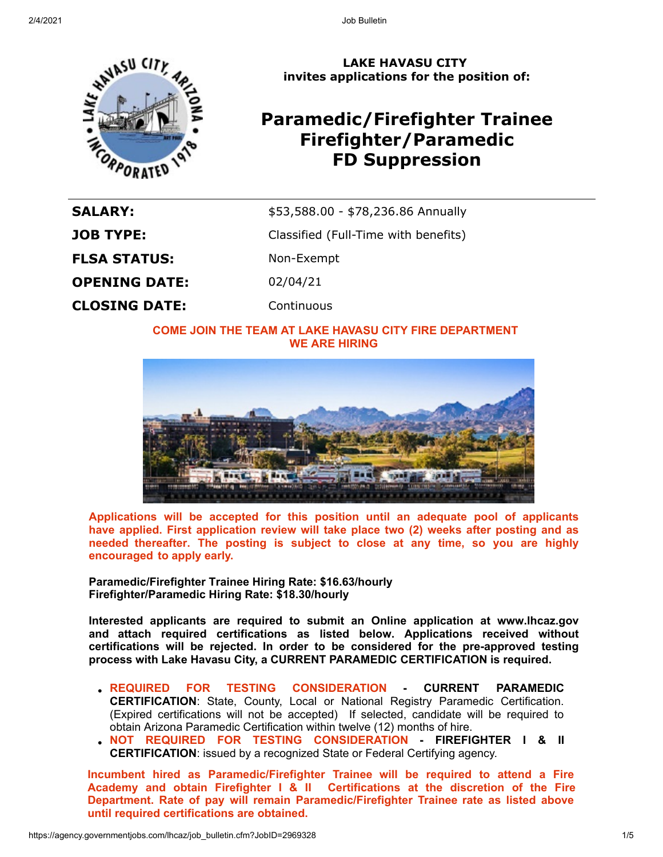

**LAKE HAVASU CITY invites applications for the position of:**

# **Paramedic/Firefighter Trainee Firefighter/Paramedic FD Suppression**

| <b>SALARY:</b>       | \$53,588.00 - \$78,236.86 Annually   |
|----------------------|--------------------------------------|
| <b>JOB TYPE:</b>     | Classified (Full-Time with benefits) |
| <b>FLSA STATUS:</b>  | Non-Exempt                           |
| <b>OPENING DATE:</b> | 02/04/21                             |
| <b>CLOSING DATE:</b> | Continuous                           |

## **COME JOIN THE TEAM AT LAKE HAVASU CITY FIRE DEPARTMENT WE ARE HIRING**



**Applications will be accepted for this position until an adequate pool of applicants have applied. First application review will take place two (2) weeks after posting and as needed thereafter. The posting is subject to close at any time, so you are highly encouraged to apply early.** 

**Paramedic/Firefighter Trainee Hiring Rate: \$16.63/hourly Firefighter/Paramedic Hiring Rate: \$18.30/hourly**

**Interested applicants are required to submit an Online application at www.lhcaz.gov and attach required certifications as listed below. Applications received without certifications will be rejected. In order to be considered for the pre-approved testing process with Lake Havasu City, a CURRENT PARAMEDIC CERTIFICATION is required.**

- **REQUIRED FOR TESTING CONSIDERATION CURRENT PARAMEDIC CERTIFICATION**: State, County, Local or National Registry Paramedic Certification. (Expired certifications will not be accepted) If selected, candidate will be required to obtain Arizona Paramedic Certification within twelve (12) months of hire.
- **NOT REQUIRED FOR TESTING CONSIDERATION FIREFIGHTER I & II CERTIFICATION**: issued by a recognized State or Federal Certifying agency.

**Incumbent hired as Paramedic/Firefighter Trainee will be required to attend a Fire Academy and obtain Firefighter I & II Certifications at the discretion of the Fire Department. Rate of pay will remain Paramedic/Firefighter Trainee rate as listed above until required certifications are obtained.**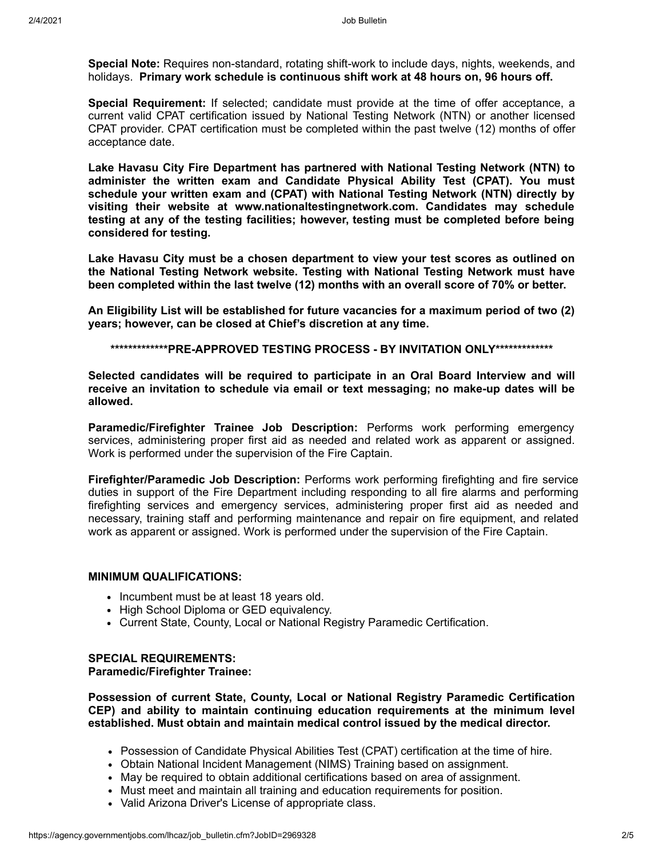**Special Note:** Requires non-standard, rotating shift-work to include days, nights, weekends, and holidays. **Primary work schedule is continuous shift work at 48 hours on, 96 hours off.** 

**Special Requirement:** If selected; candidate must provide at the time of offer acceptance, a current valid CPAT certification issued by National Testing Network (NTN) or another licensed CPAT provider. CPAT certification must be completed within the past twelve (12) months of offer acceptance date.

**Lake Havasu City Fire Department has partnered with National Testing Network (NTN) to administer the written exam and Candidate Physical Ability Test (CPAT). You must schedule your written exam and (CPAT) with National Testing Network (NTN) directly by visiting their website at www.nationaltestingnetwork.com. Candidates may schedule testing at any of the testing facilities; however, testing must be completed before being considered for testing.**

**Lake Havasu City must be a chosen department to view your test scores as outlined on the National Testing Network website. Testing with National Testing Network must have been completed within the last twelve (12) months with an overall score of 70% or better.**

**An Eligibility List will be established for future vacancies for a maximum period of two (2) years; however, can be closed at Chief's discretion at any time.**

**\*\*\*\*\*\*\*\*\*\*\*\*\*PRE-APPROVED TESTING PROCESS - BY INVITATION ONLY\*\*\*\*\*\*\*\*\*\*\*\*\***

**Selected candidates will be required to participate in an Oral Board Interview and will receive an invitation to schedule via email or text messaging; no make-up dates will be allowed.**

**Paramedic/Firefighter Trainee Job Description:** Performs work performing emergency services, administering proper first aid as needed and related work as apparent or assigned. Work is performed under the supervision of the Fire Captain.

**Firefighter/Paramedic Job Description:** Performs work performing firefighting and fire service duties in support of the Fire Department including responding to all fire alarms and performing firefighting services and emergency services, administering proper first aid as needed and necessary, training staff and performing maintenance and repair on fire equipment, and related work as apparent or assigned. Work is performed under the supervision of the Fire Captain.

#### **MINIMUM QUALIFICATIONS:**

- Incumbent must be at least 18 years old.
- High School Diploma or GED equivalency.
- Current State, County, Local or National Registry Paramedic Certification.

#### **SPECIAL REQUIREMENTS: Paramedic/Firefighter Trainee:**

**Possession of current State, County, Local or National Registry Paramedic Certification CEP) and ability to maintain continuing education requirements at the minimum level established. Must obtain and maintain medical control issued by the medical director.**

- Possession of Candidate Physical Abilities Test (CPAT) certification at the time of hire.
- Obtain National Incident Management (NIMS) Training based on assignment.
- May be required to obtain additional certifications based on area of assignment.
- Must meet and maintain all training and education requirements for position.
- Valid Arizona Driver's License of appropriate class.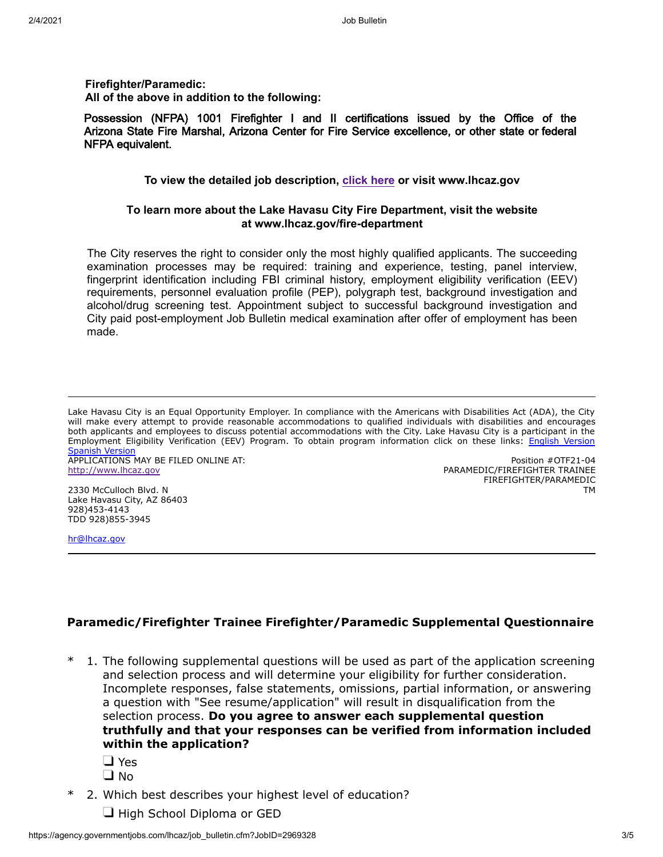**Firefighter/Paramedic: All of the above in addition to the following:**

Possession (NFPA) 1001 Firefighter I and II certifications issued by the Office of the Arizona State Fire Marshal, Arizona Center for Fire Service excellence, or other state or federal NFPA equivalent.

#### **To view the detailed job description, [click here](https://www.governmentjobs.com/careers/lhcaz/classspecs?keywords=firefighter%20paramedic) or visit www.lhcaz.gov**

### **To learn more about the Lake Havasu City Fire Department, visit the website at www.lhcaz.gov/fire-department**

The City reserves the right to consider only the most highly qualified applicants. The succeeding examination processes may be required: training and experience, testing, panel interview, fingerprint identification including FBI criminal history, employment eligibility verification (EEV) requirements, personnel evaluation profile (PEP), polygraph test, background investigation and alcohol/drug screening test. Appointment subject to successful background investigation and City paid post-employment Job Bulletin medical examination after offer of employment has been made.

Lake Havasu City is an Equal Opportunity Employer. In compliance with the Americans with Disabilities Act (ADA), the City will make every attempt to provide reasonable accommodations to qualified individuals with disabilities and encourages both applicants and employees to discuss potential accommodations with the City. Lake Havasu City is a participant in the Employment Eligibility Verification (EEV) Program. To obtain program information click on these links: [English Version](http://www.lhcaz.gov/brochures/humanResources/everifyEnglish.pdf) **[Spanish Version](http://www.lhcaz.gov/brochures/humanResources/everifySpanish.pdf)** 

APPLICATIONS MAY BE FILED ONLINE AT: [http://www.lhcaz.gov](http://www.lhcaz.gov/)

2330 McCulloch Blvd. N Lake Havasu City, AZ 86403 928)453-4143 TDD 928)855-3945

Position #OTF21-04 PARAMEDIC/FIREFIGHTER TRAINEE FIREFIGHTER/PARAMEDIC TM

[hr@lhcaz.gov](mailto:hr@lhcaz.gov)

# **Paramedic/Firefighter Trainee Firefighter/Paramedic Supplemental Questionnaire**

- 1. The following supplemental questions will be used as part of the application screening and selection process and will determine your eligibility for further consideration. Incomplete responses, false statements, omissions, partial information, or answering a question with "See resume/application" will result in disqualification from the selection process. **Do you agree to answer each supplemental question truthfully and that your responses can be verified from information included within the application?**
	- □ Yes
	- $\Box$  No
- \* 2. Which best describes your highest level of education?
	- $\Box$  High School Diploma or GED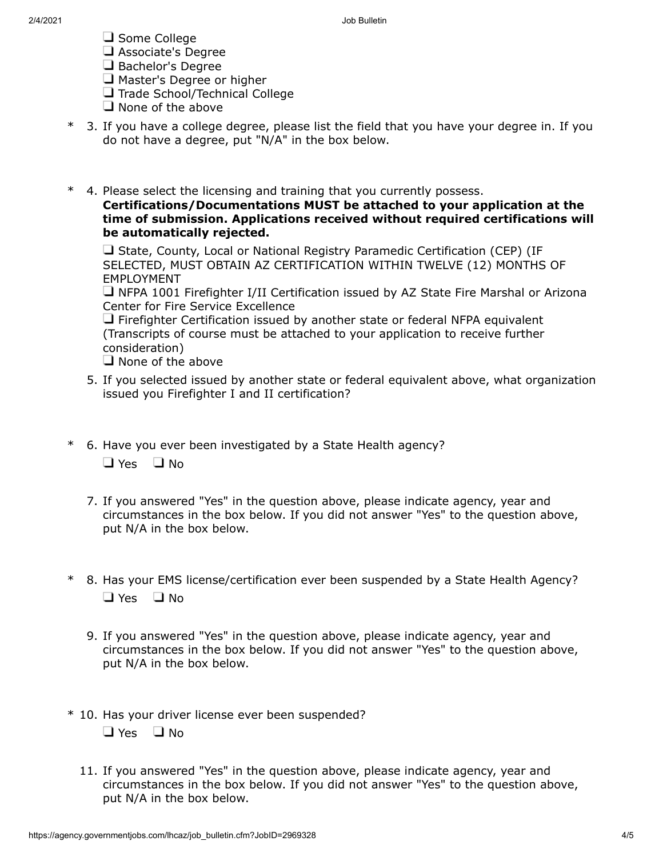- $\Box$  Some College
- Associate's Degree
- Bachelor's Degree
- $\Box$  Master's Degree or higher
- Trade School/Technical College
- $\Box$  None of the above
- \* 3. If you have a college degree, please list the field that you have your degree in. If you do not have a degree, put "N/A" in the box below.
- \* 4. Please select the licensing and training that you currently possess. **Certifications/Documentations MUST be attached to your application at the time of submission. Applications received without required certifications will be automatically rejected.**

 $\Box$  State, County, Local or National Registry Paramedic Certification (CEP) (IF SELECTED, MUST OBTAIN AZ CERTIFICATION WITHIN TWELVE (12) MONTHS OF EMPLOYMENT

 $\Box$  NFPA 1001 Firefighter I/II Certification issued by AZ State Fire Marshal or Arizona Center for Fire Service Excellence

 $\Box$  Firefighter Certification issued by another state or federal NFPA equivalent (Transcripts of course must be attached to your application to receive further consideration)

 $\Box$  None of the above

- 5. If you selected issued by another state or federal equivalent above, what organization issued you Firefighter I and II certification?
- \* 6. Have you ever been investigated by a State Health agency?  $\Box$  Yes  $\Box$  No
	- 7. If you answered "Yes" in the question above, please indicate agency, year and circumstances in the box below. If you did not answer "Yes" to the question above, put N/A in the box below.
- \* 8. Has your EMS license/certification ever been suspended by a State Health Agency?  $\Box$  Yes  $\Box$  No
	- 9. If you answered "Yes" in the question above, please indicate agency, year and circumstances in the box below. If you did not answer "Yes" to the question above, put N/A in the box below.
- \* 10. Has your driver license ever been suspended?  $\Box$  Yes  $\Box$  No
	- 11. If you answered "Yes" in the question above, please indicate agency, year and circumstances in the box below. If you did not answer "Yes" to the question above, put N/A in the box below.